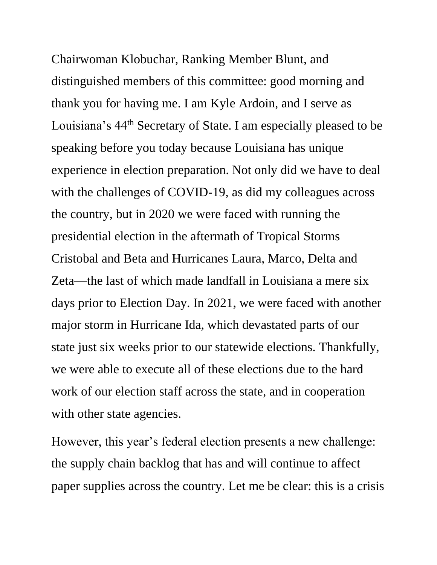Chairwoman Klobuchar, Ranking Member Blunt, and distinguished members of this committee: good morning and thank you for having me. I am Kyle Ardoin, and I serve as Louisiana's 44th Secretary of State. I am especially pleased to be speaking before you today because Louisiana has unique experience in election preparation. Not only did we have to deal with the challenges of COVID-19, as did my colleagues across the country, but in 2020 we were faced with running the presidential election in the aftermath of Tropical Storms Cristobal and Beta and Hurricanes Laura, Marco, Delta and Zeta—the last of which made landfall in Louisiana a mere six days prior to Election Day. In 2021, we were faced with another major storm in Hurricane Ida, which devastated parts of our state just six weeks prior to our statewide elections. Thankfully, we were able to execute all of these elections due to the hard work of our election staff across the state, and in cooperation with other state agencies.

However, this year's federal election presents a new challenge: the supply chain backlog that has and will continue to affect paper supplies across the country. Let me be clear: this is a crisis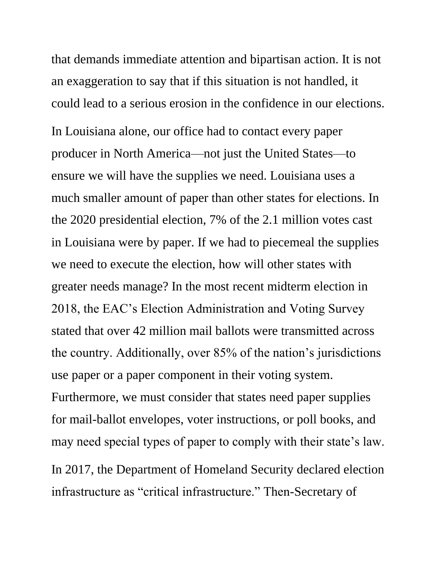that demands immediate attention and bipartisan action. It is not an exaggeration to say that if this situation is not handled, it could lead to a serious erosion in the confidence in our elections.

In Louisiana alone, our office had to contact every paper producer in North America—not just the United States—to ensure we will have the supplies we need. Louisiana uses a much smaller amount of paper than other states for elections. In the 2020 presidential election, 7% of the 2.1 million votes cast in Louisiana were by paper. If we had to piecemeal the supplies we need to execute the election, how will other states with greater needs manage? In the most recent midterm election in 2018, the EAC's Election Administration and Voting Survey stated that over 42 million mail ballots were transmitted across the country. Additionally, over 85% of the nation's jurisdictions use paper or a paper component in their voting system. Furthermore, we must consider that states need paper supplies for mail-ballot envelopes, voter instructions, or poll books, and may need special types of paper to comply with their state's law. In 2017, the Department of Homeland Security declared election infrastructure as "critical infrastructure." Then-Secretary of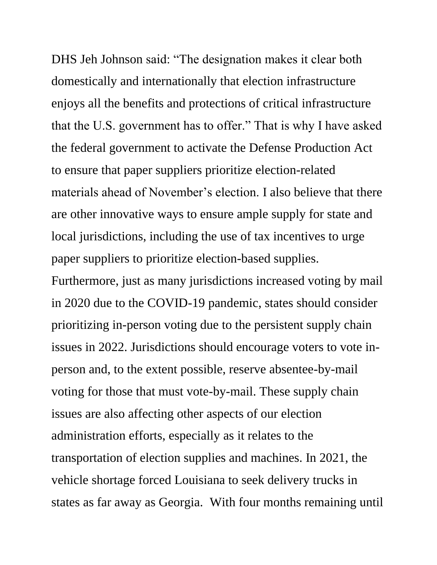DHS Jeh Johnson said: "The designation makes it clear both domestically and internationally that election infrastructure enjoys all the benefits and protections of critical infrastructure that the U.S. government has to offer." That is why I have asked the federal government to activate the Defense Production Act to ensure that paper suppliers prioritize election-related materials ahead of November's election. I also believe that there are other innovative ways to ensure ample supply for state and local jurisdictions, including the use of tax incentives to urge paper suppliers to prioritize election-based supplies. Furthermore, just as many jurisdictions increased voting by mail in 2020 due to the COVID-19 pandemic, states should consider prioritizing in-person voting due to the persistent supply chain issues in 2022. Jurisdictions should encourage voters to vote inperson and, to the extent possible, reserve absentee-by-mail voting for those that must vote-by-mail. These supply chain issues are also affecting other aspects of our election administration efforts, especially as it relates to the transportation of election supplies and machines. In 2021, the vehicle shortage forced Louisiana to seek delivery trucks in states as far away as Georgia. With four months remaining until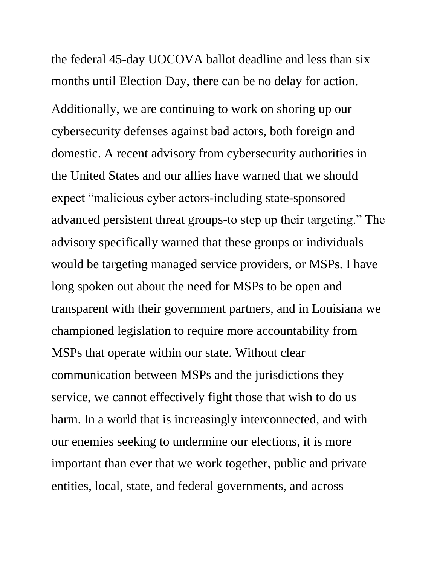the federal 45-day UOCOVA ballot deadline and less than six months until Election Day, there can be no delay for action.

Additionally, we are continuing to work on shoring up our cybersecurity defenses against bad actors, both foreign and domestic. A recent advisory from cybersecurity authorities in the United States and our allies have warned that we should expect "malicious cyber actors-including state-sponsored advanced persistent threat groups-to step up their targeting." The advisory specifically warned that these groups or individuals would be targeting managed service providers, or MSPs. I have long spoken out about the need for MSPs to be open and transparent with their government partners, and in Louisiana we championed legislation to require more accountability from MSPs that operate within our state. Without clear communication between MSPs and the jurisdictions they service, we cannot effectively fight those that wish to do us harm. In a world that is increasingly interconnected, and with our enemies seeking to undermine our elections, it is more important than ever that we work together, public and private entities, local, state, and federal governments, and across